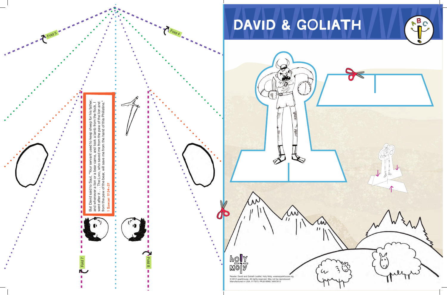

 $\overline{\phantom{a}}$ ◢